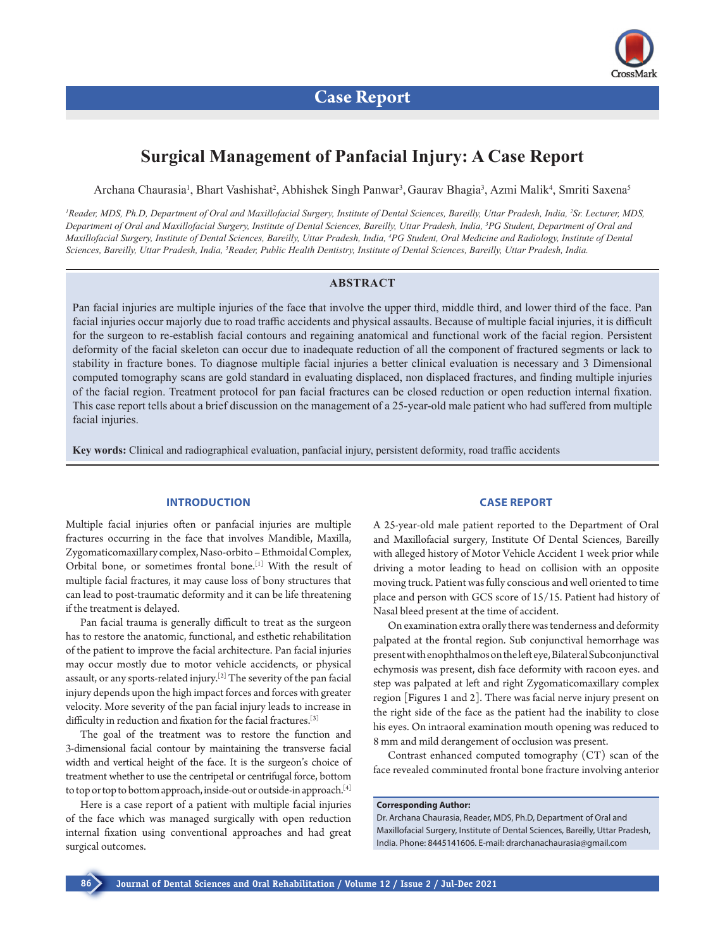

# **Surgical Management of Panfacial Injury: A Case Report**

Archana Chaurasia<sup>1</sup>, Bhart Vashishat<sup>2</sup>, Abhishek Singh Panwar<sup>3</sup>, Gaurav Bhagia<sup>3</sup>, Azmi Malik<sup>4</sup>, Smriti Saxena<sup>5</sup>

<sup>1</sup> Reader, MDS, Ph.D, Department of Oral and Maxillofacial Surgery, Institute of Dental Sciences, Bareilly, Uttar Pradesh, India, <sup>2</sup>Sr. Lecturer, MDS, *Department of Oral and Maxillofacial Surgery, Institute of Dental Sciences, Bareilly, Uttar Pradesh, India, 3 PG Student, Department of Oral and Maxillofacial Surgery, Institute of Dental Sciences, Bareilly, Uttar Pradesh, India, 4 PG Student, Oral Medicine and Radiology, Institute of Dental Sciences, Bareilly, Uttar Pradesh, India, 5 Reader, Public Health Dentistry, Institute of Dental Sciences, Bareilly, Uttar Pradesh, India.*

## **ABSTRACT**

Pan facial injuries are multiple injuries of the face that involve the upper third, middle third, and lower third of the face. Pan facial injuries occur majorly due to road traffic accidents and physical assaults. Because of multiple facial injuries, it is difficult for the surgeon to re-establish facial contours and regaining anatomical and functional work of the facial region. Persistent deformity of the facial skeleton can occur due to inadequate reduction of all the component of fractured segments or lack to stability in fracture bones. To diagnose multiple facial injuries a better clinical evaluation is necessary and 3 Dimensional computed tomography scans are gold standard in evaluating displaced, non displaced fractures, and finding multiple injuries of the facial region. Treatment protocol for pan facial fractures can be closed reduction or open reduction internal fixation. This case report tells about a brief discussion on the management of a 25-year-old male patient who had suffered from multiple facial injuries.

**Key words:** Clinical and radiographical evaluation, panfacial injury, persistent deformity, road traffic accidents

#### **INTRODUCTION**

Multiple facial injuries often or panfacial injuries are multiple fractures occurring in the face that involves Mandible, Maxilla, Zygomaticomaxillary complex, Naso-orbito – Ethmoidal Complex, Orbital bone, or sometimes frontal bone.[1] With the result of multiple facial fractures, it may cause loss of bony structures that can lead to post-traumatic deformity and it can be life threatening if the treatment is delayed.

Pan facial trauma is generally difficult to treat as the surgeon has to restore the anatomic, functional, and esthetic rehabilitation of the patient to improve the facial architecture. Pan facial injuries may occur mostly due to motor vehicle accidencts, or physical assault, or any sports-related injury.[2] The severity of the pan facial injury depends upon the high impact forces and forces with greater velocity. More severity of the pan facial injury leads to increase in difficulty in reduction and fixation for the facial fractures.[3]

The goal of the treatment was to restore the function and 3-dimensional facial contour by maintaining the transverse facial width and vertical height of the face. It is the surgeon's choice of treatment whether to use the centripetal or centrifugal force, bottom to top or top to bottom approach, inside-out or outside-in approach.[4]

Here is a case report of a patient with multiple facial injuries of the face which was managed surgically with open reduction internal fixation using conventional approaches and had great surgical outcomes.

#### **CASE REPORT**

A 25-year-old male patient reported to the Department of Oral and Maxillofacial surgery, Institute Of Dental Sciences, Bareilly with alleged history of Motor Vehicle Accident 1 week prior while driving a motor leading to head on collision with an opposite moving truck. Patient was fully conscious and well oriented to time place and person with GCS score of 15/15. Patient had history of Nasal bleed present at the time of accident.

On examination extra orally there was tenderness and deformity palpated at the frontal region. Sub conjunctival hemorrhage was present with enophthalmos on the left eye, Bilateral Subconjunctival echymosis was present, dish face deformity with racoon eyes. and step was palpated at left and right Zygomaticomaxillary complex region [Figures 1 and 2]. There was facial nerve injury present on the right side of the face as the patient had the inability to close his eyes. On intraoral examination mouth opening was reduced to 8 mm and mild derangement of occlusion was present.

Contrast enhanced computed tomography (CT) scan of the face revealed comminuted frontal bone fracture involving anterior

## **Corresponding Author:**

Dr. Archana Chaurasia, Reader, MDS, Ph.D, Department of Oral and Maxillofacial Surgery, Institute of Dental Sciences, Bareilly, Uttar Pradesh, India. Phone: 8445141606. E-mail: [drarchanachaurasia@gmail.com](mailto:drarchanachaurasia@gmail.com)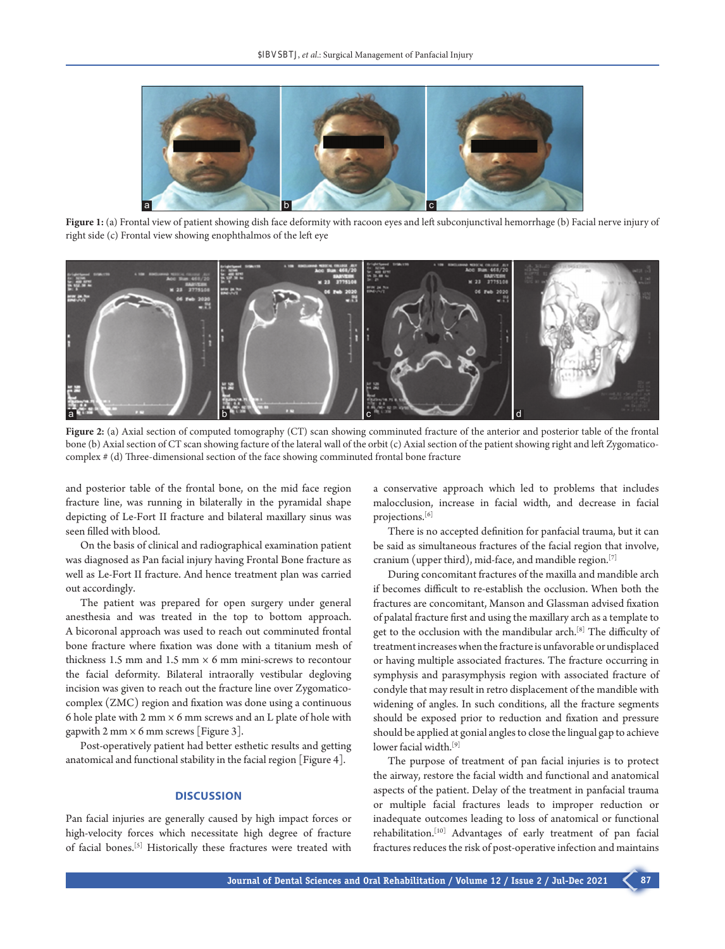

Figure 1: (a) Frontal view of patient showing dish face deformity with racoon eyes and left subconjunctival hemorrhage (b) Facial nerve injury of right side (c) Frontal view showing enophthalmos of the left eye



**Figure 2:** (a) Axial section of computed tomography (CT) scan showing comminuted fracture of the anterior and posterior table of the frontal bone (b) Axial section of CT scan showing facture of the lateral wall of the orbit (c) Axial section of the patient showing right and left Zygomaticocomplex # (d) Three-dimensional section of the face showing comminuted frontal bone fracture

and posterior table of the frontal bone, on the mid face region fracture line, was running in bilaterally in the pyramidal shape depicting of Le-Fort II fracture and bilateral maxillary sinus was seen filled with blood.

On the basis of clinical and radiographical examination patient was diagnosed as Pan facial injury having Frontal Bone fracture as well as Le-Fort II fracture. And hence treatment plan was carried out accordingly.

The patient was prepared for open surgery under general anesthesia and was treated in the top to bottom approach. A bicoronal approach was used to reach out comminuted frontal bone fracture where fixation was done with a titanium mesh of thickness 1.5 mm and 1.5 mm  $\times$  6 mm mini-screws to recontour the facial deformity. Bilateral intraorally vestibular degloving incision was given to reach out the fracture line over Zygomaticocomplex (ZMC) region and fixation was done using a continuous 6 hole plate with 2 mm  $\times$  6 mm screws and an L plate of hole with gapwith 2 mm  $\times$  6 mm screws [Figure 3].

Post-operatively patient had better esthetic results and getting anatomical and functional stability in the facial region [Figure 4].

### **DISCUSSION**

Pan facial injuries are generally caused by high impact forces or high-velocity forces which necessitate high degree of fracture of facial bones.[5] Historically these fractures were treated with

a conservative approach which led to problems that includes malocclusion, increase in facial width, and decrease in facial projections.[6]

There is no accepted definition for panfacial trauma, but it can be said as simultaneous fractures of the facial region that involve, cranium (upper third), mid-face, and mandible region.[7]

During concomitant fractures of the maxilla and mandible arch if becomes difficult to re-establish the occlusion. When both the fractures are concomitant, Manson and Glassman advised fixation of palatal fracture first and using the maxillary arch as a template to get to the occlusion with the mandibular arch.<sup>[8]</sup> The difficulty of treatment increases when the fracture is unfavorable or undisplaced or having multiple associated fractures. The fracture occurring in symphysis and parasymphysis region with associated fracture of condyle that may result in retro displacement of the mandible with widening of angles. In such conditions, all the fracture segments should be exposed prior to reduction and fixation and pressure should be applied at gonial angles to close the lingual gap to achieve lower facial width.<sup>[9]</sup>

The purpose of treatment of pan facial injuries is to protect the airway, restore the facial width and functional and anatomical aspects of the patient. Delay of the treatment in panfacial trauma or multiple facial fractures leads to improper reduction or inadequate outcomes leading to loss of anatomical or functional rehabilitation.[10] Advantages of early treatment of pan facial fractures reduces the risk of post-operative infection and maintains